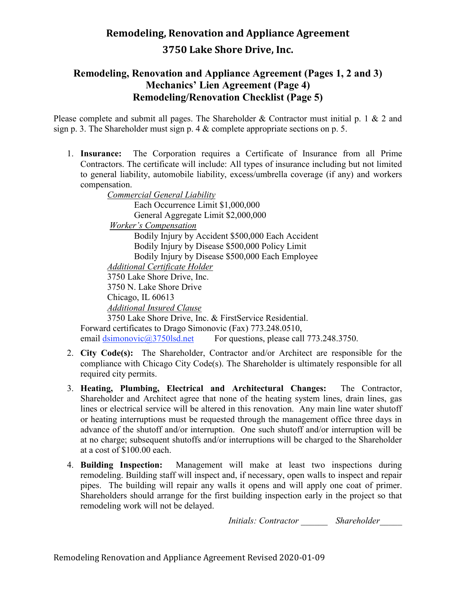### **Remodeling, Renovation and Appliance Agreement (Pages 1, 2 and 3) Mechanics' Lien Agreement (Page 4) Remodeling/Renovation Checklist (Page 5)**

Please complete and submit all pages. The Shareholder & Contractor must initial p. 1 & 2 and sign p. 3. The Shareholder must sign p. 4 & complete appropriate sections on p. 5.

1. **Insurance:** The Corporation requires a Certificate of Insurance from all Prime Contractors. The certificate will include: All types of insurance including but not limited to general liability, automobile liability, excess/umbrella coverage (if any) and workers compensation.

*Commercial General Liability*  Each Occurrence Limit \$1,000,000 General Aggregate Limit \$2,000,000 *Worker's Compensation* Bodily Injury by Accident \$500,000 Each Accident Bodily Injury by Disease \$500,000 Policy Limit Bodily Injury by Disease \$500,000 Each Employee *Additional Certificate Holder*  3750 Lake Shore Drive, Inc. 3750 N. Lake Shore Drive Chicago, IL 60613 *Additional Insured Clause*  3750 Lake Shore Drive, Inc. & FirstService Residential. Forward certificates to Drago Simonovic (Fax) 773.248.0510,

email dsimonovic@3750lsd.net For questions, please call 773.248.3750.

- 2. **City Code(s):** The Shareholder, Contractor and/or Architect are responsible for the compliance with Chicago City Code(s). The Shareholder is ultimately responsible for all required city permits.
- 3. **Heating, Plumbing, Electrical and Architectural Changes:** The Contractor, Shareholder and Architect agree that none of the heating system lines, drain lines, gas lines or electrical service will be altered in this renovation. Any main line water shutoff or heating interruptions must be requested through the management office three days in advance of the shutoff and/or interruption. One such shutoff and/or interruption will be at no charge; subsequent shutoffs and/or interruptions will be charged to the Shareholder at a cost of \$100.00 each.
- 4. **Building Inspection:** Management will make at least two inspections during remodeling. Building staff will inspect and, if necessary, open walls to inspect and repair pipes. The building will repair any walls it opens and will apply one coat of primer. Shareholders should arrange for the first building inspection early in the project so that remodeling work will not be delayed.

*Initials: Contractor \_\_\_\_\_\_ Shareholder\_\_\_\_\_*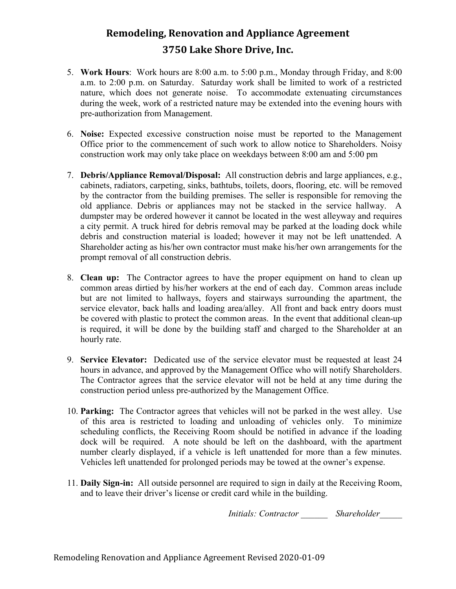- 5. **Work Hours**: Work hours are 8:00 a.m. to 5:00 p.m., Monday through Friday, and 8:00 a.m. to 2:00 p.m. on Saturday. Saturday work shall be limited to work of a restricted nature, which does not generate noise. To accommodate extenuating circumstances during the week, work of a restricted nature may be extended into the evening hours with pre-authorization from Management.
- 6. **Noise:** Expected excessive construction noise must be reported to the Management Office prior to the commencement of such work to allow notice to Shareholders. Noisy construction work may only take place on weekdays between 8:00 am and 5:00 pm
- 7. **Debris/Appliance Removal/Disposal:** All construction debris and large appliances, e.g., cabinets, radiators, carpeting, sinks, bathtubs, toilets, doors, flooring, etc. will be removed by the contractor from the building premises. The seller is responsible for removing the old appliance. Debris or appliances may not be stacked in the service hallway. A dumpster may be ordered however it cannot be located in the west alleyway and requires a city permit. A truck hired for debris removal may be parked at the loading dock while debris and construction material is loaded; however it may not be left unattended. A Shareholder acting as his/her own contractor must make his/her own arrangements for the prompt removal of all construction debris.
- 8. **Clean up:** The Contractor agrees to have the proper equipment on hand to clean up common areas dirtied by his/her workers at the end of each day. Common areas include but are not limited to hallways, foyers and stairways surrounding the apartment, the service elevator, back halls and loading area/alley. All front and back entry doors must be covered with plastic to protect the common areas. In the event that additional clean-up is required, it will be done by the building staff and charged to the Shareholder at an hourly rate.
- 9. **Service Elevator:** Dedicated use of the service elevator must be requested at least 24 hours in advance, and approved by the Management Office who will notify Shareholders. The Contractor agrees that the service elevator will not be held at any time during the construction period unless pre-authorized by the Management Office.
- 10. **Parking:** The Contractor agrees that vehicles will not be parked in the west alley. Use of this area is restricted to loading and unloading of vehicles only. To minimize scheduling conflicts, the Receiving Room should be notified in advance if the loading dock will be required. A note should be left on the dashboard, with the apartment number clearly displayed, if a vehicle is left unattended for more than a few minutes. Vehicles left unattended for prolonged periods may be towed at the owner's expense.
- 11. **Daily Sign-in:** All outside personnel are required to sign in daily at the Receiving Room, and to leave their driver's license or credit card while in the building.

*Initials: Contractor \_\_\_\_\_\_ Shareholder\_\_\_\_\_*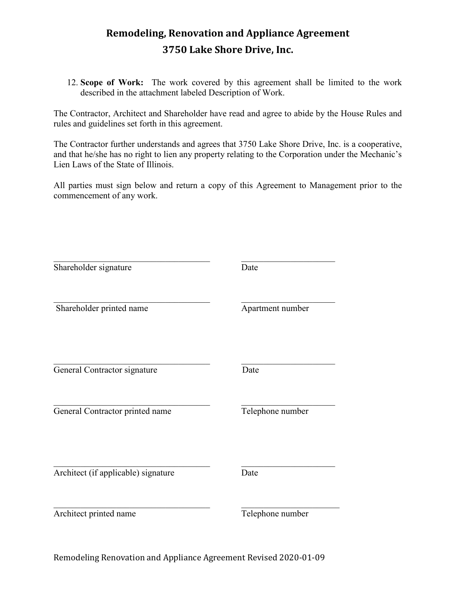12. **Scope of Work:** The work covered by this agreement shall be limited to the work described in the attachment labeled Description of Work.

The Contractor, Architect and Shareholder have read and agree to abide by the House Rules and rules and guidelines set forth in this agreement.

The Contractor further understands and agrees that 3750 Lake Shore Drive, Inc. is a cooperative, and that he/she has no right to lien any property relating to the Corporation under the Mechanic's Lien Laws of the State of Illinois.

All parties must sign below and return a copy of this Agreement to Management prior to the commencement of any work.

| Shareholder signature               | Date             |
|-------------------------------------|------------------|
| Shareholder printed name            | Apartment number |
| General Contractor signature        | Date             |
| General Contractor printed name     | Telephone number |
| Architect (if applicable) signature | Date             |
| Architect printed name              | Telephone number |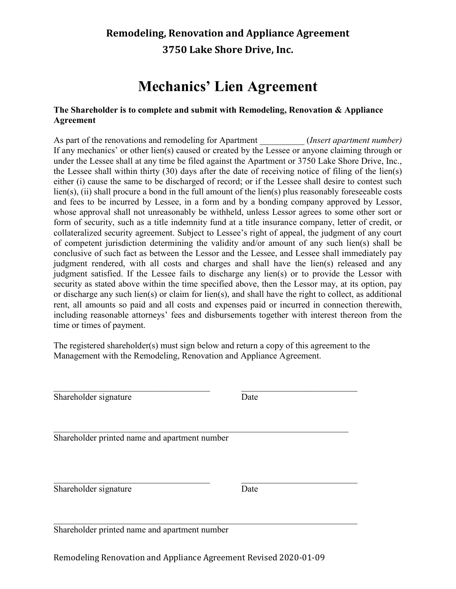# **Mechanics' Lien Agreement**

#### **The Shareholder is to complete and submit with Remodeling, Renovation & Appliance Agreement**

As part of the renovations and remodeling for Apartment *(Insert apartment number)* If any mechanics' or other lien(s) caused or created by the Lessee or anyone claiming through or under the Lessee shall at any time be filed against the Apartment or 3750 Lake Shore Drive, Inc., the Lessee shall within thirty (30) days after the date of receiving notice of filing of the lien(s) either (i) cause the same to be discharged of record; or if the Lessee shall desire to contest such lien(s), (ii) shall procure a bond in the full amount of the lien(s) plus reasonably foreseeable costs and fees to be incurred by Lessee, in a form and by a bonding company approved by Lessor, whose approval shall not unreasonably be withheld, unless Lessor agrees to some other sort or form of security, such as a title indemnity fund at a title insurance company, letter of credit, or collateralized security agreement. Subject to Lessee's right of appeal, the judgment of any court of competent jurisdiction determining the validity and/or amount of any such lien(s) shall be conclusive of such fact as between the Lessor and the Lessee, and Lessee shall immediately pay judgment rendered, with all costs and charges and shall have the lien(s) released and any judgment satisfied. If the Lessee fails to discharge any lien(s) or to provide the Lessor with security as stated above within the time specified above, then the Lessor may, at its option, pay or discharge any such lien(s) or claim for lien(s), and shall have the right to collect, as additional rent, all amounts so paid and all costs and expenses paid or incurred in connection therewith, including reasonable attorneys' fees and disbursements together with interest thereon from the time or times of payment.

The registered shareholder(s) must sign below and return a copy of this agreement to the Management with the Remodeling, Renovation and Appliance Agreement.

\_\_\_\_\_\_\_\_\_\_\_\_\_\_\_\_\_\_\_\_\_\_\_\_\_\_\_\_\_\_\_\_\_\_\_ \_\_\_\_\_\_\_\_\_\_\_\_\_\_\_\_\_\_\_\_\_\_\_\_\_\_

 $\mathcal{L}_\text{G}$  , and the contribution of the contribution of the contribution of the contribution of the contribution of the contribution of the contribution of the contribution of the contribution of the contribution of t

 $\mathcal{L}_\text{G}$  , and the contribution of the contribution of the contribution of the contribution of the contribution of the contribution of the contribution of the contribution of the contribution of the contribution of t

Shareholder signature Date

Shareholder printed name and apartment number

Shareholder signature Date

\_\_\_\_\_\_\_\_\_\_\_\_\_\_\_\_\_\_\_\_\_\_\_\_\_\_\_\_\_\_\_\_\_\_\_ \_\_\_\_\_\_\_\_\_\_\_\_\_\_\_\_\_\_\_\_\_\_\_\_\_\_

Shareholder printed name and apartment number

Remodeling Renovation and Appliance Agreement Revised 2020-01-09